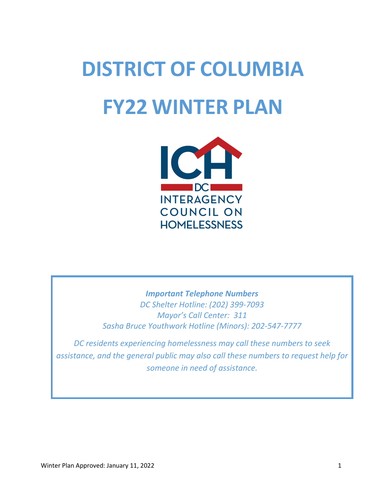# **DISTRICT OF COLUMBIA FY22 WINTER PLAN**



*Important Telephone Numbers DC Shelter Hotline: (202) 399-7093 Mayor's Call Center: 311 Sasha Bruce Youthwork Hotline (Minors): 202-547-7777*

*DC residents experiencing homelessness may call these numbers to seek assistance, and the general public may also call these numbers to request help for someone in need of assistance.*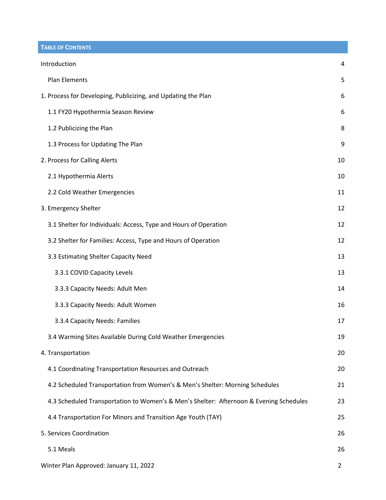**TABLE OF CONTENTS**

| Introduction                                                                           | 4              |
|----------------------------------------------------------------------------------------|----------------|
| <b>Plan Elements</b>                                                                   | 5              |
| 1. Process for Developing, Publicizing, and Updating the Plan                          | 6              |
| 1.1 FY20 Hypothermia Season Review                                                     | 6              |
| 1.2 Publicizing the Plan                                                               | 8              |
| 1.3 Process for Updating The Plan                                                      | 9              |
| 2. Process for Calling Alerts                                                          | 10             |
| 2.1 Hypothermia Alerts                                                                 | 10             |
| 2.2 Cold Weather Emergencies                                                           | 11             |
| 3. Emergency Shelter                                                                   | 12             |
| 3.1 Shelter for Individuals: Access, Type and Hours of Operation                       | 12             |
| 3.2 Shelter for Families: Access, Type and Hours of Operation                          | 12             |
| 3.3 Estimating Shelter Capacity Need                                                   | 13             |
| 3.3.1 COVID Capacity Levels                                                            | 13             |
| 3.3.3 Capacity Needs: Adult Men                                                        | 14             |
| 3.3.3 Capacity Needs: Adult Women                                                      | 16             |
| 3.3.4 Capacity Needs: Families                                                         | 17             |
| 3.4 Warming Sites Available During Cold Weather Emergencies                            | 19             |
| 4. Transportation                                                                      | 20             |
| 4.1 Coordinating Transportation Resources and Outreach                                 | 20             |
| 4.2 Scheduled Transportation from Women's & Men's Shelter: Morning Schedules           | 21             |
| 4.3 Scheduled Transportation to Women's & Men's Shelter: Afternoon & Evening Schedules | 23             |
| 4.4 Transportation For Minors and Transition Age Youth (TAY)                           | 25             |
| 5. Services Coordination                                                               | 26             |
| 5.1 Meals                                                                              | 26             |
| Winter Plan Approved: January 11, 2022                                                 | $\overline{2}$ |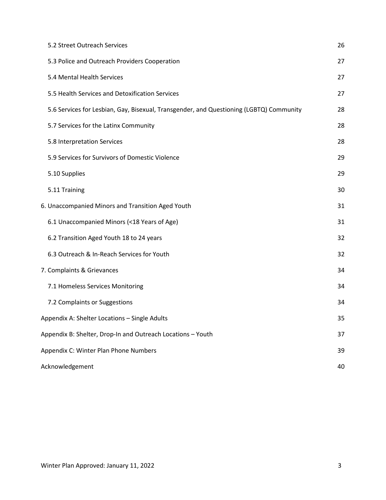| 5.2 Street Outreach Services                                                            | 26 |
|-----------------------------------------------------------------------------------------|----|
| 5.3 Police and Outreach Providers Cooperation                                           | 27 |
| 5.4 Mental Health Services                                                              | 27 |
| 5.5 Health Services and Detoxification Services                                         | 27 |
| 5.6 Services for Lesbian, Gay, Bisexual, Transgender, and Questioning (LGBTQ) Community | 28 |
| 5.7 Services for the Latinx Community                                                   | 28 |
| 5.8 Interpretation Services                                                             | 28 |
| 5.9 Services for Survivors of Domestic Violence                                         | 29 |
| 5.10 Supplies                                                                           | 29 |
| 5.11 Training                                                                           | 30 |
| 6. Unaccompanied Minors and Transition Aged Youth                                       | 31 |
| 6.1 Unaccompanied Minors (<18 Years of Age)                                             | 31 |
| 6.2 Transition Aged Youth 18 to 24 years                                                | 32 |
| 6.3 Outreach & In-Reach Services for Youth                                              | 32 |
| 7. Complaints & Grievances                                                              | 34 |
| 7.1 Homeless Services Monitoring                                                        | 34 |
| 7.2 Complaints or Suggestions                                                           | 34 |
| Appendix A: Shelter Locations - Single Adults                                           | 35 |
| Appendix B: Shelter, Drop-In and Outreach Locations - Youth                             | 37 |
| Appendix C: Winter Plan Phone Numbers                                                   | 39 |
| Acknowledgement                                                                         | 40 |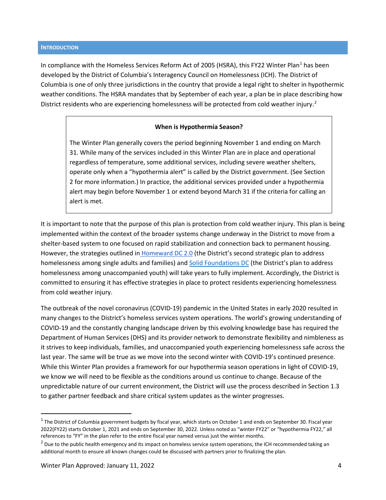#### <span id="page-3-0"></span>**INTRODUCTION**

In compliance with the Homeless Services Reform Act of 2005 (HSRA), this FY22 Winter Plan<sup>[1](#page-3-1)</sup> has been developed by the District of Columbia's Interagency Council on Homelessness (ICH). The District of Columbia is one of only three jurisdictions in the country that provide a legal right to shelter in hypothermic weather conditions. The HSRA mandates that by September of each year, a plan be in place describing how District residents who are experiencing homelessness will be protected from cold weather injury.<sup>[2](#page-3-2)</sup>

#### **When is Hypothermia Season?**

The Winter Plan generally covers the period beginning November 1 and ending on March 31. While many of the services included in this Winter Plan are in place and operational regardless of temperature, some additional services, including severe weather shelters, operate only when a "hypothermia alert" is called by the District government. (See Section 2 for more information.) In practice, the additional services provided under a hypothermia alert may begin before November 1 or extend beyond March 31 if the criteria for calling an alert is met.

It is important to note that the purpose of this plan is protection from cold weather injury. This plan is being implemented within the context of the broader systems change underway in the District to move from a shelter-based system to one focused on rapid stabilization and connection back to permanent housing. However, the strategies outlined in [Homeward DC 2.0](https://dmhhs.dc.gov/sites/default/files/dc/sites/dmhhs/page_content/attachments/Homeward-DC-Report_FY2021-2025.pdf) (the District's second strategic plan to address homelessness among single adults and families) and **Solid Foundations DC** (the District's plan to address homelessness among unaccompanied youth) will take years to fully implement. Accordingly, the District is committed to ensuring it has effective strategies in place to protect residents experiencing homelessness from cold weather injury.

The outbreak of the novel coronavirus (COVID-19) pandemic in the United States in early 2020 resulted in many changes to the District's homeless services system operations. The world's growing understanding of COVID-19 and the constantly changing landscape driven by this evolving knowledge base has required the Department of Human Services (DHS) and its provider network to demonstrate flexibility and nimbleness as it strives to keep individuals, families, and unaccompanied youth experiencing homelessness safe across the last year. The same will be true as we move into the second winter with COVID-19's continued presence. While this Winter Plan provides a framework for our hypothermia season operations in light of COVID-19, we know we will need to be flexible as the conditions around us continue to change. Because of the unpredictable nature of our current environment, the District will use the process described in Section 1.3 to gather partner feedback and share critical system updates as the winter progresses.

<span id="page-3-1"></span> $1$  The District of Columbia government budgets by fiscal year, which starts on October 1 and ends on September 30. Fiscal year 2022(FY22) starts October 1, 2021 and ends on September 30, 2022. Unless noted as "winter FY22" or "hypothermia FY22," all references to "FY" in the plan refer to the entire fiscal year named versus just the winter months.<br><sup>2</sup> Due to the public health emergency and its impact on homeless service system operations, the ICH recommended taking an

<span id="page-3-2"></span>additional month to ensure all known changes could be discussed with partners prior to finalizing the plan.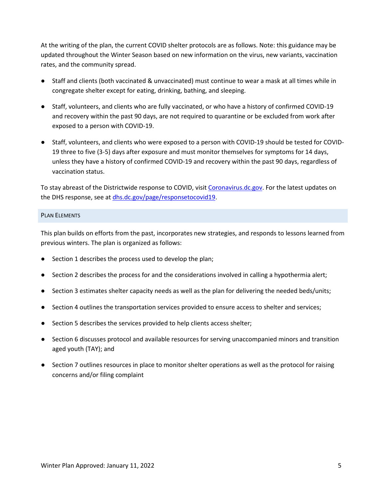At the writing of the plan, the current COVID shelter protocols are as follows. Note: this guidance may be updated throughout the Winter Season based on new information on the virus, new variants, vaccination rates, and the community spread.

- Staff and clients (both vaccinated & unvaccinated) must continue to wear a mask at all times while in congregate shelter except for eating, drinking, bathing, and sleeping.
- Staff, volunteers, and clients who are fully vaccinated, or who have a history of confirmed COVID-19 and recovery within the past 90 days, are not required to quarantine or be excluded from work after exposed to a person with COVID-19.
- Staff, volunteers, and clients who were exposed to a person with COVID-19 should be tested for COVID-19 three to five (3-5) days after exposure and must monitor themselves for symptoms for 14 days, unless they have a history of confirmed COVID-19 and recovery within the past 90 days, regardless of vaccination status.

To stay abreast of the Districtwide response to COVID, visit [Coronavirus.dc.gov.](https://coronavirus.dc.gov/) For the latest updates on the DHS response, see a[t dhs.dc.gov/page/responsetocovid19.](https://dhs.dc.gov/page/responsetocovid19)

## <span id="page-4-0"></span>PLAN ELEMENTS

This plan builds on efforts from the past, incorporates new strategies, and responds to lessons learned from previous winters. The plan is organized as follows:

- Section 1 describes the process used to develop the plan;
- Section 2 describes the process for and the considerations involved in calling a hypothermia alert;
- Section 3 estimates shelter capacity needs as well as the plan for delivering the needed beds/units;
- Section 4 outlines the transportation services provided to ensure access to shelter and services;
- Section 5 describes the services provided to help clients access shelter;
- Section 6 discusses protocol and available resources for serving unaccompanied minors and transition aged youth (TAY); and
- Section 7 outlines resources in place to monitor shelter operations as well as the protocol for raising concerns and/or filing complaint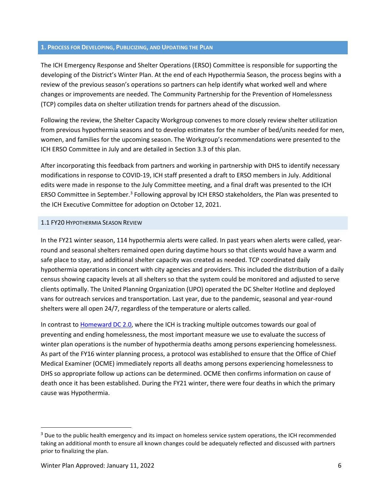#### <span id="page-5-0"></span>**1. PROCESS FOR DEVELOPING, PUBLICIZING, AND UPDATING THE PLAN**

The ICH Emergency Response and Shelter Operations (ERSO) Committee is responsible for supporting the developing of the District's Winter Plan. At the end of each Hypothermia Season, the process begins with a review of the previous season's operations so partners can help identify what worked well and where changes or improvements are needed. The Community Partnership for the Prevention of Homelessness (TCP) compiles data on shelter utilization trends for partners ahead of the discussion.

Following the review, the Shelter Capacity Workgroup convenes to more closely review shelter utilization from previous hypothermia seasons and to develop estimates for the number of bed/units needed for men, women, and families for the upcoming season. The Workgroup's recommendations were presented to the ICH ERSO Committee in July and are detailed in Section 3.3 of this plan.

After incorporating this feedback from partners and working in partnership with DHS to identify necessary modifications in response to COVID-19, ICH staff presented a draft to ERSO members in July. Additional edits were made in response to the July Committee meeting, and a final draft was presented to the ICH ERSO Committee in September.<sup>[3](#page-5-2)</sup> Following approval by ICH ERSO stakeholders, the Plan was presented to the ICH Executive Committee for adoption on October 12, 2021.

#### <span id="page-5-1"></span>1.1 FY20 HYPOTHERMIA SEASON REVIEW

In the FY21 winter season, 114 hypothermia alerts were called. In past years when alerts were called, yearround and seasonal shelters remained open during daytime hours so that clients would have a warm and safe place to stay, and additional shelter capacity was created as needed. TCP coordinated daily hypothermia operations in concert with city agencies and providers. This included the distribution of a daily census showing capacity levels at all shelters so that the system could be monitored and adjusted to serve clients optimally. The United Planning Organization (UPO) operated the DC Shelter Hotline and deployed vans for outreach services and transportation. Last year, due to the pandemic, seasonal and year-round shelters were all open 24/7, regardless of the temperature or alerts called.

In contrast to [Homeward DC 2.0,](https://dmhhs.dc.gov/sites/default/files/dc/sites/dmhhs/page_content/attachments/Homeward-DC-Report_FY2021-2025.pdf) where the ICH is tracking multiple outcomes towards our goal of preventing and ending homelessness, the most important measure we use to evaluate the success of winter plan operations is the number of hypothermia deaths among persons experiencing homelessness. As part of the FY16 winter planning process, a protocol was established to ensure that the Office of Chief Medical Examiner (OCME) immediately reports all deaths among persons experiencing homelessness to DHS so appropriate follow up actions can be determined. OCME then confirms information on cause of death once it has been established. During the FY21 winter, there were four deaths in which the primary cause was Hypothermia.

<span id="page-5-2"></span><sup>&</sup>lt;sup>3</sup> Due to the public health emergency and its impact on homeless service system operations, the ICH recommended taking an additional month to ensure all known changes could be adequately reflected and discussed with partners prior to finalizing the plan.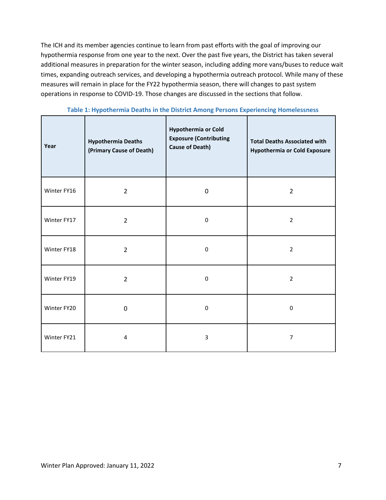The ICH and its member agencies continue to learn from past efforts with the goal of improving our hypothermia response from one year to the next. Over the past five years, the District has taken several additional measures in preparation for the winter season, including adding more vans/buses to reduce wait times, expanding outreach services, and developing a hypothermia outreach protocol. While many of these measures will remain in place for the FY22 hypothermia season, there will changes to past system operations in response to COVID-19. Those changes are discussed in the sections that follow.

| Year        | <b>Hypothermia Deaths</b><br>(Primary Cause of Death) | <b>Hypothermia or Cold</b><br><b>Exposure (Contributing</b><br><b>Cause of Death)</b> | <b>Total Deaths Associated with</b><br><b>Hypothermia or Cold Exposure</b> |
|-------------|-------------------------------------------------------|---------------------------------------------------------------------------------------|----------------------------------------------------------------------------|
| Winter FY16 | $\overline{2}$                                        | 0                                                                                     |                                                                            |
| Winter FY17 | $\overline{2}$                                        | 0                                                                                     |                                                                            |
| Winter FY18 | $\overline{2}$                                        | $\Omega$                                                                              | $\overline{2}$                                                             |
| Winter FY19 | $\overline{2}$<br>0                                   |                                                                                       | $\overline{2}$                                                             |
| Winter FY20 | $\mathbf 0$                                           | 0                                                                                     | $\pmb{0}$                                                                  |
| Winter FY21 | 4                                                     | 3                                                                                     | $\overline{7}$                                                             |

**Table 1: Hypothermia Deaths in the District Among Persons Experiencing Homelessness**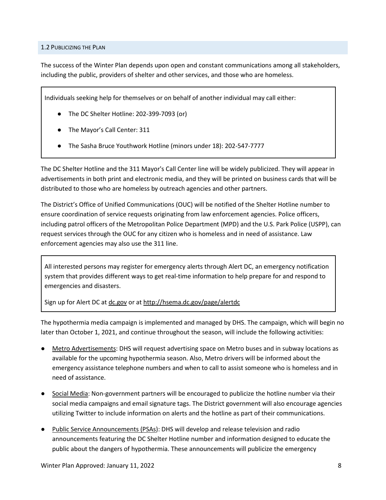#### <span id="page-7-0"></span>1.2 PUBLICIZING THE PLAN

The success of the Winter Plan depends upon open and constant communications among all stakeholders, including the public, providers of shelter and other services, and those who are homeless.

Individuals seeking help for themselves or on behalf of another individual may call either:

- The DC Shelter Hotline: 202-399-7093 (or)
- The Mayor's Call Center: 311
- The Sasha Bruce Youthwork Hotline (minors under 18): 202-547-7777

The DC Shelter Hotline and the 311 Mayor's Call Center line will be widely publicized. They will appear in advertisements in both print and electronic media, and they will be printed on business cards that will be distributed to those who are homeless by outreach agencies and other partners.

The District's Office of Unified Communications (OUC) will be notified of the Shelter Hotline number to ensure coordination of service requests originating from law enforcement agencies. Police officers, including patrol officers of the Metropolitan Police Department (MPD) and the U.S. Park Police (USPP), can request services through the OUC for any citizen who is homeless and in need of assistance. Law enforcement agencies may also use the 311 line.

All interested persons may register for emergency alerts through Alert DC, an emergency notification system that provides different ways to get real-time information to help prepare for and respond to emergencies and disasters.

Sign up for Alert DC at dc.gov or at <http://hsema.dc.gov/page/alertdc>

The hypothermia media campaign is implemented and managed by DHS. The campaign, which will begin no later than October 1, 2021, and continue throughout the season, will include the following activities:

- Metro Advertisements: DHS will request advertising space on Metro buses and in subway locations as available for the upcoming hypothermia season. Also, Metro drivers will be informed about the emergency assistance telephone numbers and when to call to assist someone who is homeless and in need of assistance.
- Social Media: Non-government partners will be encouraged to publicize the hotline number via their social media campaigns and email signature tags. The District government will also encourage agencies utilizing Twitter to include information on alerts and the hotline as part of their communications.
- Public Service Announcements (PSAs): DHS will develop and release television and radio announcements featuring the DC Shelter Hotline number and information designed to educate the public about the dangers of hypothermia. These announcements will publicize the emergency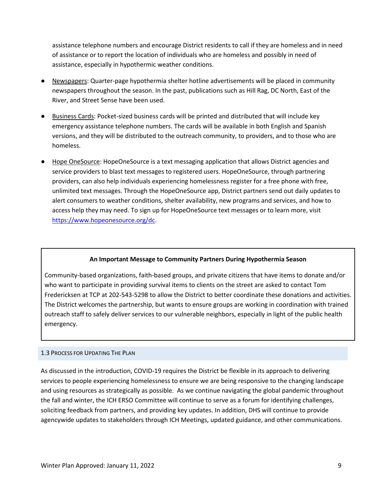assistance telephone numbers and encourage District residents to call if they are homeless and in need of assistance or to report the location of individuals who are homeless and possibly in need of assistance, especially in hypothermic weather conditions.

- Newspapers: Quarter-page hypothermia shelter hotline advertisements will be placed in community newspapers throughout the season. In the past, publications such as Hill Rag, DC North, East of the River, and Street Sense have been used.
- Business Cards: Pocket-sized business cards will be printed and distributed that will include key emergency assistance telephone numbers. The cards will be available in both English and Spanish versions, and they will be distributed to the outreach community, to providers, and to those who are homeless.
- Hope OneSource: HopeOneSource is a text messaging application that allows District agencies and service providers to blast text messages to registered users. HopeOneSource, through partnering providers, can also help individuals experiencing homelessness register for a free phone with free, unlimited text messages. Through the HopeOneSource app, District partners send out daily updates to alert consumers to weather conditions, shelter availability, new programs and services, and how to access help they may need. To sign up for HopeOneSource text messages or to learn more, visit [https://www.hopeonesource.org/dc.](https://www.hopeonesource.org/dc)

#### **An Important Message to Community Partners During Hypothermia Season**

Community-based organizations, faith-based groups, and private citizens that have items to donate and/or who want to participate in providing survival items to clients on the street are asked to contact Tom Fredericksen at TCP at 202-543-5298 to allow the District to better coordinate these donations and activities. The District welcomes the partnership, but wants to ensure groups are working in coordination with trained outreach staff to safely deliver services to our vulnerable neighbors, especially in light of the public health emergency.

#### <span id="page-8-0"></span>1.3 PROCESS FOR UPDATING THE PLAN

As discussed in the introduction, COVID-19 requires the District be flexible in its approach to delivering services to people experiencing homelessness to ensure we are being responsive to the changing landscape and using resources as strategically as possible. As we continue navigating the global pandemic throughout the fall and winter, the ICH ERSO Committee will continue to serve as a forum for identifying challenges, soliciting feedback from partners, and providing key updates. In addition, DHS will continue to provide agencywide updates to stakeholders through ICH Meetings, updated guidance, and other communications.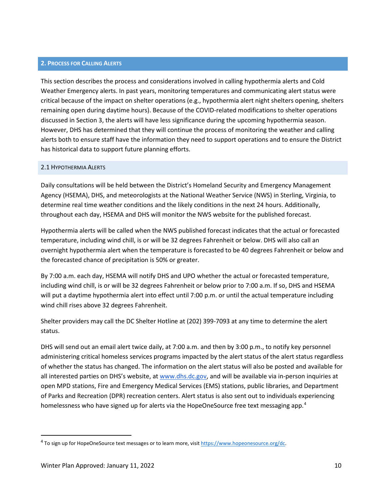#### <span id="page-9-0"></span>**2. PROCESS FOR CALLING ALERTS**

This section describes the process and considerations involved in calling hypothermia alerts and Cold Weather Emergency alerts. In past years, monitoring temperatures and communicating alert status were critical because of the impact on shelter operations (e.g., hypothermia alert night shelters opening, shelters remaining open during daytime hours). Because of the COVID-related modifications to shelter operations discussed in Section 3, the alerts will have less significance during the upcoming hypothermia season. However, DHS has determined that they will continue the process of monitoring the weather and calling alerts both to ensure staff have the information they need to support operations and to ensure the District has historical data to support future planning efforts.

#### <span id="page-9-1"></span>2.1 HYPOTHERMIA ALERTS

Daily consultations will be held between the District's Homeland Security and Emergency Management Agency (HSEMA), DHS, and meteorologists at the National Weather Service (NWS) in Sterling, Virginia, to determine real time weather conditions and the likely conditions in the next 24 hours. Additionally, throughout each day, HSEMA and DHS will monitor the NWS website for the published forecast.

Hypothermia alerts will be called when the NWS published forecast indicates that the actual or forecasted temperature, including wind chill, is or will be 32 degrees Fahrenheit or below. DHS will also call an overnight hypothermia alert when the temperature is forecasted to be 40 degrees Fahrenheit or below and the forecasted chance of precipitation is 50% or greater.

By 7:00 a.m. each day, HSEMA will notify DHS and UPO whether the actual or forecasted temperature, including wind chill, is or will be 32 degrees Fahrenheit or below prior to 7:00 a.m. If so, DHS and HSEMA will put a daytime hypothermia alert into effect until 7:00 p.m. or until the actual temperature including wind chill rises above 32 degrees Fahrenheit.

Shelter providers may call the DC Shelter Hotline at (202) 399-7093 at any time to determine the alert status.

DHS will send out an email alert twice daily, at 7:00 a.m. and then by 3:00 p.m., to notify key personnel administering critical homeless services programs impacted by the alert status of the alert status regardless of whether the status has changed. The information on the alert status will also be posted and available for all interested parties on DHS's website, at [www.dhs.dc.gov,](http://www.dhs.dc.gov/) and will be available via in-person inquiries at open MPD stations, Fire and Emergency Medical Services (EMS) stations, public libraries, and Department of Parks and Recreation (DPR) recreation centers. Alert status is also sent out to individuals experiencing homelessness who have signed up for alerts via the HopeOneSource free text messaging app.<sup>[4](#page-9-2)</sup>

<span id="page-9-2"></span><sup>4</sup> To sign up for HopeOneSource text messages or to learn more, visit [https://www.hopeonesource.org/dc.](https://www.hopeonesource.org/dc)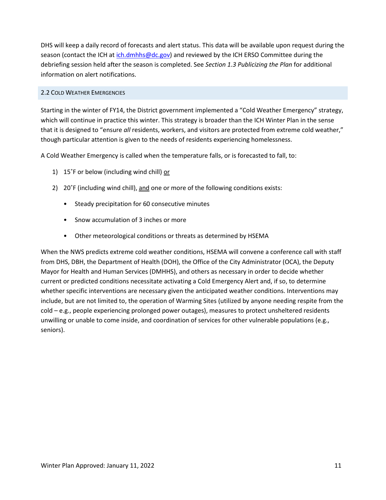DHS will keep a daily record of forecasts and alert status. This data will be available upon request during the season (contact the ICH a[t ich.dmhhs@dc.gov\)](mailto:ich.dmhhs@dc.gov) and reviewed by the ICH ERSO Committee during the debriefing session held after the season is completed. See *Section 1.3 Publicizing the Plan* for additional information on alert notifications.

## <span id="page-10-0"></span>2.2 COLD WEATHER EMERGENCIES

Starting in the winter of FY14, the District government implemented a "Cold Weather Emergency" strategy, which will continue in practice this winter. This strategy is broader than the ICH Winter Plan in the sense that it is designed to "ensure *all* residents, workers, and visitors are protected from extreme cold weather," though particular attention is given to the needs of residents experiencing homelessness.

A Cold Weather Emergency is called when the temperature falls, or is forecasted to fall, to:

- 1) 15°F or below (including wind chill) or
- 2) 20˚F (including wind chill), and one or more of the following conditions exists:
	- Steady precipitation for 60 consecutive minutes
	- Snow accumulation of 3 inches or more
	- Other meteorological conditions or threats as determined by HSEMA

When the NWS predicts extreme cold weather conditions, HSEMA will convene a conference call with staff from DHS, DBH, the Department of Health (DOH), the Office of the City Administrator (OCA), the Deputy Mayor for Health and Human Services (DMHHS), and others as necessary in order to decide whether current or predicted conditions necessitate activating a Cold Emergency Alert and, if so, to determine whether specific interventions are necessary given the anticipated weather conditions. Interventions may include, but are not limited to, the operation of Warming Sites (utilized by anyone needing respite from the cold – e.g., people experiencing prolonged power outages), measures to protect unsheltered residents unwilling or unable to come inside, and coordination of services for other vulnerable populations (e.g., seniors).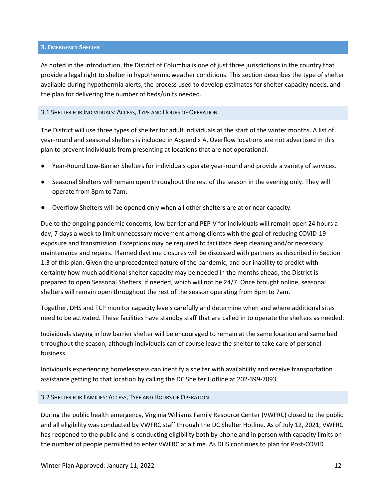#### <span id="page-11-0"></span>**3. EMERGENCY SHELTER**

As noted in the introduction, the District of Columbia is one of just three jurisdictions in the country that provide a legal right to shelter in hypothermic weather conditions. This section describes the type of shelter available during hypothermia alerts, the process used to develop estimates for shelter capacity needs, and the plan for delivering the number of beds/units needed.

#### <span id="page-11-1"></span>3.1 SHELTER FOR INDIVIDUALS: ACCESS, TYPE AND HOURS OF OPERATION

The District will use three types of shelter for adult individuals at the start of the winter months. A list of year-round and seasonal shelters is included in Appendix A. Overflow locations are not advertised in this plan to prevent individuals from presenting at locations that are not operational.

- Year-Round Low-Barrier Shelters for individuals operate year-round and provide a variety of services.
- Seasonal Shelters will remain open throughout the rest of the season in the evening only. They will operate from 8pm to 7am.
- Overflow Shelters will be opened only when all other shelters are at or near capacity.

Due to the ongoing pandemic concerns, low-barrier and PEP-V for individuals will remain open 24 hours a day, 7 days a week to limit unnecessary movement among clients with the goal of reducing COVID-19 exposure and transmission. Exceptions may be required to facilitate deep cleaning and/or necessary maintenance and repairs. Planned daytime closures will be discussed with partners as described in Section 1.3 of this plan. Given the unprecedented nature of the pandemic, and our inability to predict with certainty how much additional shelter capacity may be needed in the months ahead, the District is prepared to open Seasonal Shelters, if needed, which will not be 24/7. Once brought online, seasonal shelters will remain open throughout the rest of the season operating from 8pm to 7am.

Together, DHS and TCP monitor capacity levels carefully and determine when and where additional sites need to be activated. These facilities have standby staff that are called in to operate the shelters as needed.

Individuals staying in low barrier shelter will be encouraged to remain at the same location and same bed throughout the season, although individuals can of course leave the shelter to take care of personal business.

Individuals experiencing homelessness can identify a shelter with availability and receive transportation assistance getting to that location by calling the DC Shelter Hotline at 202-399-7093.

#### <span id="page-11-2"></span>3.2 SHELTER FOR FAMILIES: ACCESS, TYPE AND HOURS OF OPERATION

During the public health emergency, Virginia Williams Family Resource Center (VWFRC) closed to the public and all eligibility was conducted by VWFRC staff through the DC Shelter Hotline. As of July 12, 2021, VWFRC has reopened to the public and is conducting eligibility both by phone and in person with capacity limits on the number of people permitted to enter VWFRC at a time. As DHS continues to plan for Post-COVID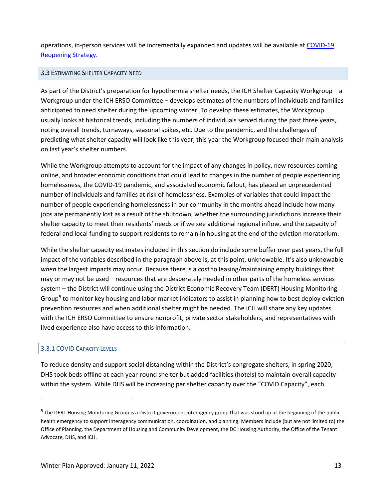operations, in-person services will be incrementally expanded and updates will be available at [COVID-19](https://coronavirus.dc.gov/page/stay-home)  [Reopening Strategy.](https://coronavirus.dc.gov/page/stay-home)

## <span id="page-12-0"></span>3.3 ESTIMATING SHELTER CAPACITY NEED

As part of the District's preparation for hypothermia shelter needs, the ICH Shelter Capacity Workgroup – a Workgroup under the ICH ERSO Committee – develops estimates of the numbers of individuals and families anticipated to need shelter during the upcoming winter. To develop these estimates, the Workgroup usually looks at historical trends, including the numbers of individuals served during the past three years, noting overall trends, turnaways, seasonal spikes, etc. Due to the pandemic, and the challenges of predicting what shelter capacity will look like this year, this year the Workgroup focused their main analysis on last year's shelter numbers.

While the Workgroup attempts to account for the impact of any changes in policy, new resources coming online, and broader economic conditions that could lead to changes in the number of people experiencing homelessness, the COVID-19 pandemic, and associated economic fallout, has placed an unprecedented number of individuals and families at risk of homelessness. Examples of variables that could impact the number of people experiencing homelessness in our community in the months ahead include how many jobs are permanently lost as a result of the shutdown, whether the surrounding jurisdictions increase their shelter capacity to meet their residents' needs or if we see additional regional inflow, and the capacity of federal and local funding to support residents to remain in housing at the end of the eviction moratorium.

While the shelter capacity estimates included in this section do include some buffer over past years, the full impact of the variables described in the paragraph above is, at this point, unknowable. It's also unknowable *when* the largest impacts may occur. Because there is a cost to leasing/maintaining empty buildings that may or may not be used – resources that are desperately needed in other parts of the homeless services system – the District will continue using the District Economic Recovery Team (DERT) Housing Monitoring Group<sup>5</sup> to monitor key housing and labor market indicators to assist in planning how to best deploy eviction prevention resources and when additional shelter might be needed. The ICH will share any key updates with the ICH ERSO Committee to ensure nonprofit, private sector stakeholders, and representatives with lived experience also have access to this information.

## <span id="page-12-1"></span>3.3.1 COVID CAPACITY LEVELS

To reduce density and support social distancing within the District's congregate shelters, in spring 2020, DHS took beds offline at each year-round shelter but added facilities (hotels) to maintain overall capacity within the system. While DHS will be increasing per shelter capacity over the "COVID Capacity", each

<span id="page-12-2"></span><sup>&</sup>lt;sup>5</sup> The DERT Housing Monitoring Group is a District government interagency group that was stood up at the beginning of the public health emergency to support interagency communication, coordination, and planning. Members include (but are not limited to) the Office of Planning, the Department of Housing and Community Development, the DC Housing Authority, the Office of the Tenant Advocate, DHS, and ICH.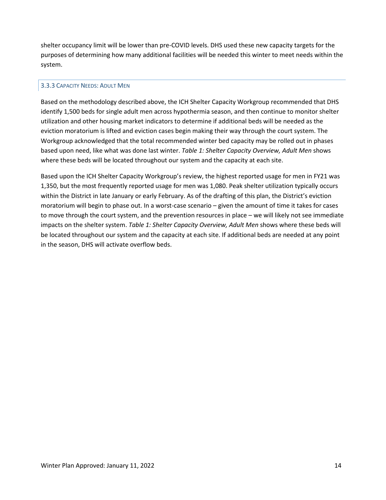shelter occupancy limit will be lower than pre-COVID levels. DHS used these new capacity targets for the purposes of determining how many additional facilities will be needed this winter to meet needs within the system.

#### <span id="page-13-0"></span>3.3.3 CAPACITY NEEDS: ADULT MEN

Based on the methodology described above, the ICH Shelter Capacity Workgroup recommended that DHS identify 1,500 beds for single adult men across hypothermia season, and then continue to monitor shelter utilization and other housing market indicators to determine if additional beds will be needed as the eviction moratorium is lifted and eviction cases begin making their way through the court system. The Workgroup acknowledged that the total recommended winter bed capacity may be rolled out in phases based upon need, like what was done last winter. *Table 1: Shelter Capacity Overview, Adult Men* shows where these beds will be located throughout our system and the capacity at each site.

Based upon the ICH Shelter Capacity Workgroup's review, the highest reported usage for men in FY21 was 1,350, but the most frequently reported usage for men was 1,080. Peak shelter utilization typically occurs within the District in late January or early February. As of the drafting of this plan, the District's eviction moratorium will begin to phase out. In a worst-case scenario – given the amount of time it takes for cases to move through the court system, and the prevention resources in place – we will likely not see immediate impacts on the shelter system. *Table 1: Shelter Capacity Overview, Adult Men* shows where these beds will be located throughout our system and the capacity at each site. If additional beds are needed at any point in the season, DHS will activate overflow beds.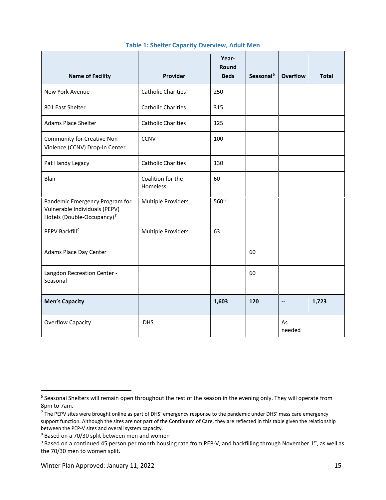| <b>Name of Facility</b>                                                                                   | Provider                      | Year-<br>Round<br><b>Beds</b> | Seasonal <sup>6</sup> | <b>Overflow</b>          | <b>Total</b> |
|-----------------------------------------------------------------------------------------------------------|-------------------------------|-------------------------------|-----------------------|--------------------------|--------------|
| New York Avenue                                                                                           | <b>Catholic Charities</b>     | 250                           |                       |                          |              |
| 801 East Shelter                                                                                          | <b>Catholic Charities</b>     | 315                           |                       |                          |              |
| Adams Place Shelter                                                                                       | <b>Catholic Charities</b>     | 125                           |                       |                          |              |
| Community for Creative Non-<br><b>CCNV</b><br>Violence (CCNV) Drop-In Center                              |                               | 100                           |                       |                          |              |
| Pat Handy Legacy                                                                                          | <b>Catholic Charities</b>     | 130                           |                       |                          |              |
| Blair                                                                                                     | Coalition for the<br>Homeless | 60                            |                       |                          |              |
| Pandemic Emergency Program for<br>Vulnerable Individuals (PEPV)<br>Hotels (Double-Occupancy) <sup>7</sup> | <b>Multiple Providers</b>     | 560 <sup>8</sup>              |                       |                          |              |
| PEPV Backfill <sup>9</sup>                                                                                | <b>Multiple Providers</b>     | 63                            |                       |                          |              |
| Adams Place Day Center                                                                                    |                               |                               | 60                    |                          |              |
| Langdon Recreation Center -<br>Seasonal                                                                   |                               |                               | 60                    |                          |              |
| <b>Men's Capacity</b>                                                                                     |                               | 1,603                         | 120                   | $\overline{\phantom{a}}$ | 1,723        |
| <b>Overflow Capacity</b>                                                                                  | <b>DHS</b>                    |                               |                       | As<br>needed             |              |

#### **Table 1: Shelter Capacity Overview, Adult Men**

<span id="page-14-0"></span><sup>&</sup>lt;sup>6</sup> Seasonal Shelters will remain open throughout the rest of the season in the evening only. They will operate from 8pm to 7am.

<span id="page-14-1"></span> $7$  The PEPV sites were brought online as part of DHS' emergency response to the pandemic under DHS' mass care emergency support function. Although the sites are not part of the Continuum of Care, they are reflected in this table given the relationship between the PEP-V sites and overall system capacity.

<span id="page-14-2"></span><sup>8</sup> Based on a 70/30 split between men and women

<span id="page-14-3"></span> $9$  Based on a continued 45 person per month housing rate from PEP-V, and backfilling through November 1st, as well as the 70/30 men to women split.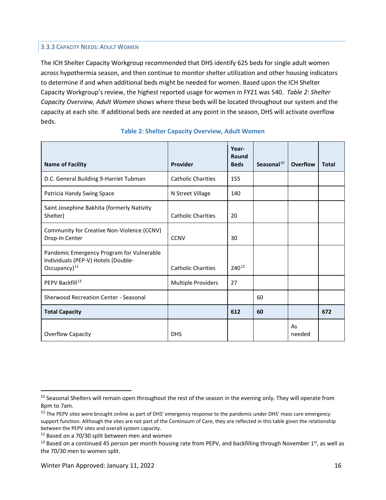## <span id="page-15-0"></span>3.3.3 CAPACITY NEEDS: ADULT WOMEN

The ICH Shelter Capacity Workgroup recommended that DHS identify 625 beds for single adult women across hypothermia season, and then continue to monitor shelter utilization and other housing indicators to determine if and when additional beds might be needed for women. Based upon the ICH Shelter Capacity Workgroup's review, the highest reported usage for women in FY21 was 540. *Table 2: Shelter Capacity Overview, Adult Women* shows where these beds will be located throughout our system and the capacity at each site. If additional beds are needed at any point in the season, DHS will activate overflow beds.

| <b>Name of Facility</b>                                                                                | Provider                  | Year-<br>Round<br><b>Beds</b> | Seasonal $^{10}$ | Overflow     | <b>Total</b> |
|--------------------------------------------------------------------------------------------------------|---------------------------|-------------------------------|------------------|--------------|--------------|
| D.C. General Building 9-Harriet Tubman                                                                 | <b>Catholic Charities</b> | 155                           |                  |              |              |
| Patricia Handy Swing Space                                                                             | N Street Village          | 140                           |                  |              |              |
| Saint Josephine Bakhita (formerly Nativity<br>Shelter)                                                 | <b>Catholic Charities</b> | 20                            |                  |              |              |
| Community for Creative Non-Violence (CCNV)<br>Drop-In Center                                           | <b>CCNV</b>               | 30                            |                  |              |              |
| Pandemic Emergency Program for Vulnerable<br>Individuals (PEP-V) Hotels (Double-<br>Occupancy $)^{11}$ | <b>Catholic Charities</b> | 240 <sup>12</sup>             |                  |              |              |
| PEPV Backfill <sup>13</sup>                                                                            | <b>Multiple Providers</b> | 27                            |                  |              |              |
| Sherwood Recreation Center - Seasonal                                                                  |                           |                               | 60               |              |              |
| <b>Total Capacity</b>                                                                                  |                           | 612                           | 60               |              | 672          |
| Overflow Capacity                                                                                      | <b>DHS</b>                |                               |                  | As<br>needed |              |

#### **Table 2: Shelter Capacity Overview, Adult Women**

<span id="page-15-1"></span><sup>&</sup>lt;sup>10</sup> Seasonal Shelters will remain open throughout the rest of the season in the evening only. They will operate from 8pm to 7am.

<span id="page-15-2"></span> $11$  The PEPV sites were brought online as part of DHS' emergency response to the pandemic under DHS' mass care emergency support function. Although the sites are not part of the Continuum of Care, they are reflected in this table given the relationship between the PEPV sites and overall system capacity.

<span id="page-15-3"></span><sup>&</sup>lt;sup>12</sup> Based on a 70/30 split between men and women

<span id="page-15-4"></span><sup>&</sup>lt;sup>13</sup> Based on a continued 45 person per month housing rate from PEPV, and backfilling through November  $1<sup>st</sup>$ , as well as the 70/30 men to women split.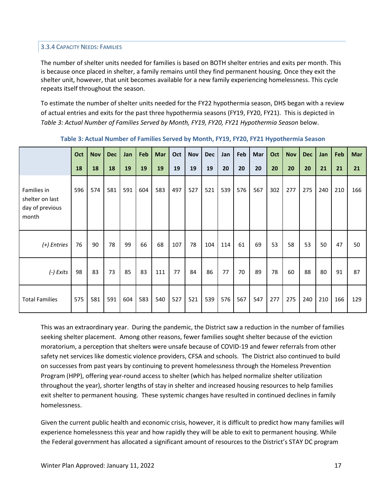#### <span id="page-16-0"></span>3.3.4 CAPACITY NEEDS: FAMILIES

The number of shelter units needed for families is based on BOTH shelter entries and exits per month. This is because once placed in shelter, a family remains until they find permanent housing. Once they exit the shelter unit, however, that unit becomes available for a new family experiencing homelessness. This cycle repeats itself throughout the season.

To estimate the number of shelter units needed for the FY22 hypothermia season, DHS began with a review of actual entries and exits for the past three hypothermia seasons (FY19, FY20, FY21). This is depicted in *Table 3: Actual Number of Families Served by Month, FY19, FY20, FY21 Hypothermia Season* below.

|                                                            | Oct | <b>Nov</b> | <b>Dec</b> | Jan | Feb | Mar | Oct | <b>Nov</b> | <b>Dec</b> | Jan | Feb | Mar | Oct | <b>Nov</b> | <b>Dec</b> | Jan | Feb | Mar |
|------------------------------------------------------------|-----|------------|------------|-----|-----|-----|-----|------------|------------|-----|-----|-----|-----|------------|------------|-----|-----|-----|
|                                                            | 18  | 18         | 18         | 19  | 19  | 19  | 19  | 19         | 19         | 20  | 20  | 20  | 20  | 20         | 20         | 21  | 21  | 21  |
| Families in<br>shelter on last<br>day of previous<br>month | 596 | 574        | 581        | 591 | 604 | 583 | 497 | 527        | 521        | 539 | 576 | 567 | 302 | 277        | 275        | 240 | 210 | 166 |
| (+) Entries                                                | 76  | 90         | 78         | 99  | 66  | 68  | 107 | 78         | 104        | 114 | 61  | 69  | 53  | 58         | 53         | 50  | 47  | 50  |
| $(-)$ Exits                                                | 98  | 83         | 73         | 85  | 83  | 111 | 77  | 84         | 86         | 77  | 70  | 89  | 78  | 60         | 88         | 80  | 91  | 87  |
| <b>Total Families</b>                                      | 575 | 581        | 591        | 604 | 583 | 540 | 527 | 521        | 539        | 576 | 567 | 547 | 277 | 275        | 240        | 210 | 166 | 129 |

**Table 3: Actual Number of Families Served by Month, FY19, FY20, FY21 Hypothermia Season**

This was an extraordinary year. During the pandemic, the District saw a reduction in the number of families seeking shelter placement. Among other reasons, fewer families sought shelter because of the eviction moratorium, a perception that shelters were unsafe because of COVID-19 and fewer referrals from other safety net services like domestic violence providers, CFSA and schools. The District also continued to build on successes from past years by continuing to prevent homelessness through the Homeless Prevention Program (HPP), offering year-round access to shelter (which has helped normalize shelter utilization throughout the year), shorter lengths of stay in shelter and increased housing resources to help families exit shelter to permanent housing. These systemic changes have resulted in continued declines in family homelessness.

Given the current public health and economic crisis, however, it is difficult to predict how many families will experience homelessness this year and how rapidly they will be able to exit to permanent housing. While the Federal government has allocated a significant amount of resources to the District's STAY DC program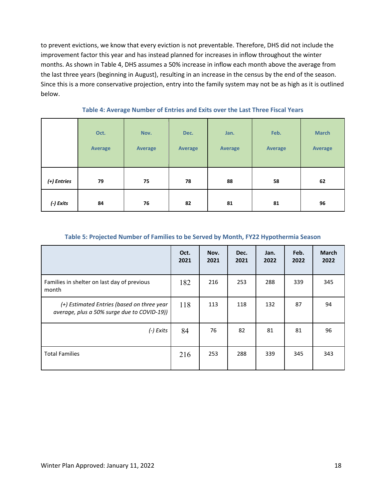to prevent evictions, we know that every eviction is not preventable. Therefore, DHS did not include the improvement factor this year and has instead planned for increases in inflow throughout the winter months. As shown in Table 4, DHS assumes a 50% increase in inflow each month above the average from the last three years (beginning in August), resulting in an increase in the census by the end of the season. Since this is a more conservative projection, entry into the family system may not be as high as it is outlined below.

|             | Oct.<br>Average | Nov.<br><b>Average</b> | Dec.<br><b>Average</b> | Jan.<br><b>Average</b> | Feb.<br><b>Average</b> | <b>March</b><br>Average |
|-------------|-----------------|------------------------|------------------------|------------------------|------------------------|-------------------------|
| (+) Entries | 79              | 75                     | 78                     | 88                     | 58                     | 62                      |
| (-) Exits   | 84              | 76                     | 82                     | 81                     | 81                     | 96                      |

#### **Table 4: Average Number of Entries and Exits over the Last Three Fiscal Years**

#### **Table 5: Projected Number of Families to be Served by Month, FY22 Hypothermia Season**

|                                                                                           | Oct.<br>2021 | Nov.<br>2021 | Dec.<br>2021 | Jan.<br>2022 | Feb.<br>2022 | <b>March</b><br>2022 |
|-------------------------------------------------------------------------------------------|--------------|--------------|--------------|--------------|--------------|----------------------|
| Families in shelter on last day of previous<br>month                                      | 182          | 216          | 253          | 288          | 339          | 345                  |
| (+) Estimated Entries (based on three year<br>average, plus a 50% surge due to COVID-19)) | 118          | 113          | 118          | 132          | 87           | 94                   |
| (-) Exits                                                                                 | 84           | 76           | 82           | 81           | 81           | 96                   |
| <b>Total Families</b>                                                                     | 216          | 253          | 288          | 339          | 345          | 343                  |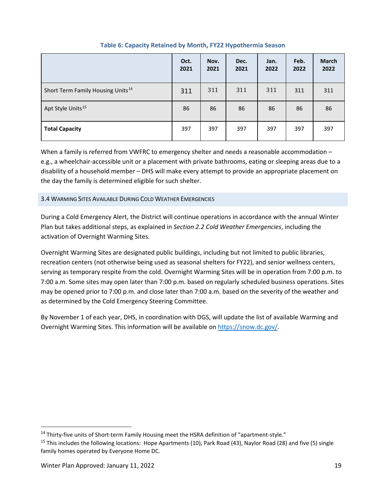|                                               | Oct.<br>2021 | Nov.<br>2021 | Dec.<br>2021 | Jan.<br>2022 | Feb.<br>2022 | <b>March</b><br>2022 |
|-----------------------------------------------|--------------|--------------|--------------|--------------|--------------|----------------------|
| Short Term Family Housing Units <sup>14</sup> | 311          | 311          | 311          | 311          | 311          | 311                  |
| Apt Style Units <sup>15</sup>                 | 86           | 86           | 86           | 86           | 86           | 86                   |
| <b>Total Capacity</b>                         | 397          | 397          | 397          | 397          | 397          | 397                  |

## **Table 6: Capacity Retained by Month, FY22 Hypothermia Season**

When a family is referred from VWFRC to emergency shelter and needs a reasonable accommodation e.g., a wheelchair-accessible unit or a placement with private bathrooms, eating or sleeping areas due to a disability of a household member – DHS will make every attempt to provide an appropriate placement on the day the family is determined eligible for such shelter.

## <span id="page-18-0"></span>3.4 WARMING SITES AVAILABLE DURING COLD WEATHER EMERGENCIES

During a Cold Emergency Alert, the District will continue operations in accordance with the annual Winter Plan but takes additional steps, as explained in *Section 2.2 Cold Weather Emergencies*, including the activation of Overnight Warming Sites.

Overnight Warming Sites are designated public buildings, including but not limited to public libraries, recreation centers (not otherwise being used as seasonal shelters for FY22), and senior wellness centers, serving as temporary respite from the cold. Overnight Warming Sites will be in operation from 7:00 p.m. to 7:00 a.m. Some sites may open later than 7:00 p.m. based on regularly scheduled business operations. Sites may be opened prior to 7:00 p.m. and close later than 7:00 a.m. based on the severity of the weather and as determined by the Cold Emergency Steering Committee.

By November 1 of each year, DHS, in coordination with DGS, will update the list of available Warming and Overnight Warming Sites. This information will be available o[n https://snow.dc.gov/.](https://snow.dc.gov/)

<span id="page-18-1"></span><sup>&</sup>lt;sup>14</sup> Thirty-five units of Short-term Family Housing meet the HSRA definition of "apartment-style."

<span id="page-18-2"></span><sup>&</sup>lt;sup>15</sup> This includes the following locations: Hope Apartments (10), Park Road (43), Naylor Road (28) and five (5) single family homes operated by Everyone Home DC.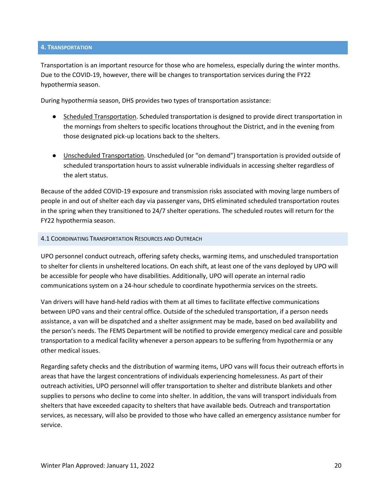#### <span id="page-19-0"></span>**4. TRANSPORTATION**

Transportation is an important resource for those who are homeless, especially during the winter months. Due to the COVID-19, however, there will be changes to transportation services during the FY22 hypothermia season.

During hypothermia season, DHS provides two types of transportation assistance:

- Scheduled Transportation. Scheduled transportation is designed to provide direct transportation in the mornings from shelters to specific locations throughout the District, and in the evening from those designated pick-up locations back to the shelters.
- Unscheduled Transportation. Unscheduled (or "on demand") transportation is provided outside of scheduled transportation hours to assist vulnerable individuals in accessing shelter regardless of the alert status.

Because of the added COVID-19 exposure and transmission risks associated with moving large numbers of people in and out of shelter each day via passenger vans, DHS eliminated scheduled transportation routes in the spring when they transitioned to 24/7 shelter operations. The scheduled routes will return for the FY22 hypothermia season.

#### <span id="page-19-1"></span>4.1 COORDINATING TRANSPORTATION RESOURCES AND OUTREACH

UPO personnel conduct outreach, offering safety checks, warming items, and unscheduled transportation to shelter for clients in unsheltered locations. On each shift, at least one of the vans deployed by UPO will be accessible for people who have disabilities. Additionally, UPO will operate an internal radio communications system on a 24-hour schedule to coordinate hypothermia services on the streets.

Van drivers will have hand-held radios with them at all times to facilitate effective communications between UPO vans and their central office. Outside of the scheduled transportation, if a person needs assistance, a van will be dispatched and a shelter assignment may be made, based on bed availability and the person's needs. The FEMS Department will be notified to provide emergency medical care and possible transportation to a medical facility whenever a person appears to be suffering from hypothermia or any other medical issues.

Regarding safety checks and the distribution of warming items, UPO vans will focus their outreach efforts in areas that have the largest concentrations of individuals experiencing homelessness. As part of their outreach activities, UPO personnel will offer transportation to shelter and distribute blankets and other supplies to persons who decline to come into shelter. In addition, the vans will transport individuals from shelters that have exceeded capacity to shelters that have available beds. Outreach and transportation services, as necessary, will also be provided to those who have called an emergency assistance number for service.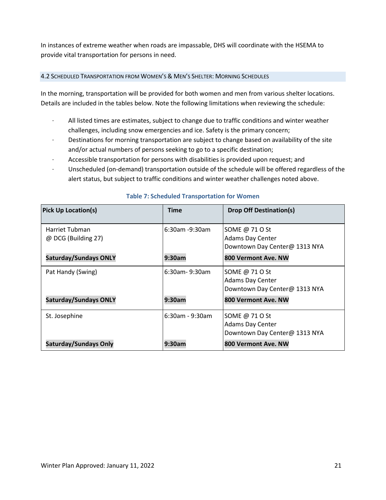In instances of extreme weather when roads are impassable, DHS will coordinate with the HSEMA to provide vital transportation for persons in need.

## <span id="page-20-0"></span>4.2 SCHEDULED TRANSPORTATION FROM WOMEN'S & MEN'S SHELTER: MORNING SCHEDULES

In the morning, transportation will be provided for both women and men from various shelter locations. Details are included in the tables below. Note the following limitations when reviewing the schedule:

- · All listed times are estimates, subject to change due to traffic conditions and winter weather challenges, including snow emergencies and ice. Safety is the primary concern;
- Destinations for morning transportation are subject to change based on availability of the site and/or actual numbers of persons seeking to go to a specific destination;
- Accessible transportation for persons with disabilities is provided upon request; and
- · Unscheduled (on-demand) transportation outside of the schedule will be offered regardless of the alert status, but subject to traffic conditions and winter weather challenges noted above.

| <b>Pick Up Location(s)</b>            | <b>Time</b>        | <b>Drop Off Destination(s)</b>                                             |
|---------------------------------------|--------------------|----------------------------------------------------------------------------|
| Harriet Tubman<br>@ DCG (Building 27) | $6:30$ am -9:30am  | SOME @ 71 O St<br><b>Adams Day Center</b><br>Downtown Day Center@ 1313 NYA |
| <b>Saturday/Sundays ONLY</b>          | 9:30am             | 800 Vermont Ave. NW                                                        |
| Pat Handy (Swing)                     | $6:30$ am-9:30am   | SOME @ 71 O St<br><b>Adams Day Center</b><br>Downtown Day Center@ 1313 NYA |
| <b>Saturday/Sundays ONLY</b>          | 9:30am             | 800 Vermont Ave. NW                                                        |
| St. Josephine                         | $6:30$ am - 9:30am | SOME @ 71 O St<br><b>Adams Day Center</b><br>Downtown Day Center@ 1313 NYA |
| <b>Saturday/Sundays Only</b>          | 9:30am             | 800 Vermont Ave. NW                                                        |

## **Table 7: Scheduled Transportation for Women**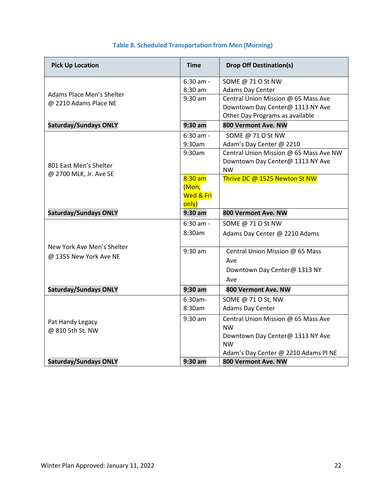| <b>Pick Up Location</b>      | <b>Time</b> | <b>Drop Off Destination(s)</b>         |
|------------------------------|-------------|----------------------------------------|
|                              | $6:30$ am - | SOME @ 71 O St NW                      |
| Adams Place Men's Shelter    | 8:30 am     | Adams Day Center                       |
| @ 2210 Adams Place NE        | $9:30$ am   | Central Union Mission @ 65 Mass Ave    |
|                              |             | Downtown Day Center@ 1313 NY Ave       |
|                              |             | Other Day Programs as available        |
| <b>Saturday/Sundays ONLY</b> | $9:30$ am   | 800 Vermont Ave. NW                    |
|                              | $6:30$ am - | SOME @ 71 O St NW                      |
|                              | 9:30am      | Adam's Day Center @ 2210               |
|                              | 9:30am      | Central Union Mission @ 65 Mass Ave NW |
| 801 East Men's Shelter       |             | Downtown Day Center@ 1313 NY Ave       |
| @ 2700 MLK, Jr. Ave SE       |             | <b>NW</b>                              |
|                              | $8:30$ am   | Thrive DC @ 1525 Newton St NW          |
|                              | (Mon,       |                                        |
|                              | Wed & Fri   |                                        |
|                              | only)       |                                        |
| <b>Saturday/Sundays ONLY</b> | $9:30$ am   | 800 Vermont Ave. NW                    |
|                              | $6:30$ am - | SOME @ 71 O St NW                      |
|                              | 8:30am      | Adams Day Center @ 2210 Adams          |
| New York Ave Men's Shelter   | $9:30$ am   | Central Union Mission @ 65 Mass        |
| @ 1355 New York Ave NE       |             | Ave                                    |
|                              |             | Downtown Day Center@ 1313 NY           |
|                              |             | Ave                                    |
| <b>Saturday/Sundays ONLY</b> | $9:30$ am   | 800 Vermont Ave. NW                    |
|                              | $6:30am-$   | SOME @ 71 O St, NW                     |
|                              | 8:30am      | Adams Day Center                       |
| Pat Handy Legacy             | $9:30$ am   | Central Union Mission @ 65 Mass Ave    |
| @ 810 5th St. NW             |             | <b>NW</b>                              |
|                              |             | Downtown Day Center@ 1313 NY Ave       |
|                              |             | <b>NW</b>                              |
|                              |             | Adam's Day Center @ 2210 Adams PI NE   |
| <b>Saturday/Sundays ONLY</b> | $9:30$ am   | 800 Vermont Ave. NW                    |

# **Table 8. Scheduled Transportation from Men (Morning)**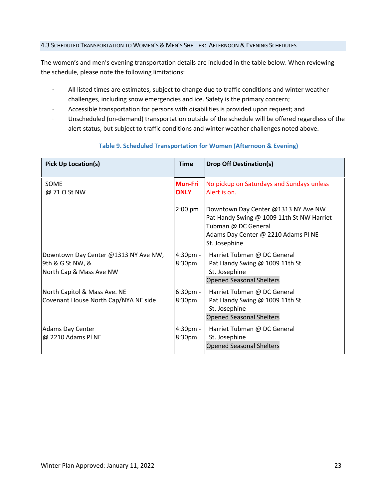#### <span id="page-22-0"></span>4.3 SCHEDULED TRANSPORTATION TO WOMEN'S & MEN'S SHELTER: AFTERNOON & EVENING SCHEDULES

The women's and men's evening transportation details are included in the table below. When reviewing the schedule, please note the following limitations:

- · All listed times are estimates, subject to change due to traffic conditions and winter weather challenges, including snow emergencies and ice. Safety is the primary concern;
- Accessible transportation for persons with disabilities is provided upon request; and
- Unscheduled (on-demand) transportation outside of the schedule will be offered regardless of the alert status, but subject to traffic conditions and winter weather challenges noted above.

| <b>Pick Up Location(s)</b>                                                          | <b>Time</b>                   | <b>Drop Off Destination(s)</b>                                                                                                                                  |
|-------------------------------------------------------------------------------------|-------------------------------|-----------------------------------------------------------------------------------------------------------------------------------------------------------------|
| SOME<br>@ 71 0 St NW                                                                | <b>Mon-Fri</b><br><b>ONLY</b> | No pickup on Saturdays and Sundays unless<br>Alert is on.                                                                                                       |
|                                                                                     | $2:00$ pm                     | Downtown Day Center @1313 NY Ave NW<br>Pat Handy Swing @ 1009 11th St NW Harriet<br>Tubman @ DC General<br>Adams Day Center @ 2210 Adams PI NE<br>St. Josephine |
| Downtown Day Center @1313 NY Ave NW,<br>9th & G St NW, &<br>North Cap & Mass Ave NW | 4:30pm -<br>8:30pm            | Harriet Tubman @ DC General<br>Pat Handy Swing @ 1009 11th St<br>St. Josephine<br><b>Opened Seasonal Shelters</b>                                               |
| North Capitol & Mass Ave. NE<br>Covenant House North Cap/NYA NE side                | $6:30$ pm -<br>8:30pm         | Harriet Tubman @ DC General<br>Pat Handy Swing @ 1009 11th St<br>St. Josephine<br><b>Opened Seasonal Shelters</b>                                               |
| <b>Adams Day Center</b><br>@ 2210 Adams PI NE                                       | 4:30pm -<br>8:30pm            | Harriet Tubman @ DC General<br>St. Josephine<br><b>Opened Seasonal Shelters</b>                                                                                 |

## **Table 9. Scheduled Transportation for Women (Afternoon & Evening)**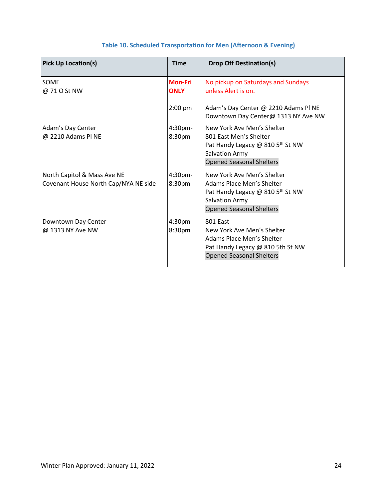| <b>Pick Up Location(s)</b>                                          | <b>Time</b>                   | <b>Drop Off Destination(s)</b>                                                                                                                            |
|---------------------------------------------------------------------|-------------------------------|-----------------------------------------------------------------------------------------------------------------------------------------------------------|
| <b>SOME</b><br>@ 71 0 St NW                                         | <b>Mon-Fri</b><br><b>ONLY</b> | No pickup on Saturdays and Sundays<br>unless Alert is on.                                                                                                 |
|                                                                     | $2:00$ pm                     | Adam's Day Center @ 2210 Adams PI NE<br>Downtown Day Center@ 1313 NY Ave NW                                                                               |
| Adam's Day Center<br>@ 2210 Adams PI NE                             | 4:30pm-<br>8:30pm             | New York Ave Men's Shelter<br>801 East Men's Shelter<br>Pat Handy Legacy @ 810 5 <sup>th</sup> St NW<br>Salvation Army<br><b>Opened Seasonal Shelters</b> |
| North Capitol & Mass Ave NE<br>Covenant House North Cap/NYA NE side | 4:30pm-<br>8:30pm             | New York Ave Men's Shelter<br>Adams Place Men's Shelter<br>Pat Handy Legacy @ 810 5th St NW<br>Salvation Army<br><b>Opened Seasonal Shelters</b>          |
| Downtown Day Center<br>@ 1313 NY Ave NW                             | 4:30pm-<br>8:30pm             | 801 Fast<br>New York Ave Men's Shelter<br>Adams Place Men's Shelter<br>Pat Handy Legacy @ 810 5th St NW<br><b>Opened Seasonal Shelters</b>                |

## **Table 10. Scheduled Transportation for Men (Afternoon & Evening)**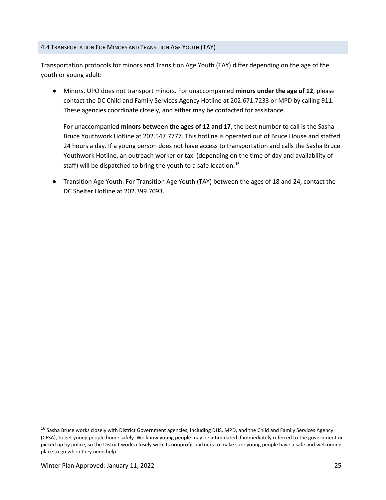#### <span id="page-24-0"></span>4.4 TRANSPORTATION FOR MINORS AND TRANSITION AGE YOUTH (TAY)

Transportation protocols for minors and Transition Age Youth (TAY) differ depending on the age of the youth or young adult:

● Minors. UPO does not transport minors. For unaccompanied **minors under the age of 12**, please contact the DC Child and Family Services Agency Hotline at 202.671.7233 or MPD by calling 911. These agencies coordinate closely, and either may be contacted for assistance.

For unaccompanied **minors between the ages of 12 and 17**, the best number to call is the Sasha Bruce Youthwork Hotline at 202.547.7777. This hotline is operated out of Bruce House and staffed 24 hours a day. If a young person does not have access to transportation and calls the Sasha Bruce Youthwork Hotline, an outreach worker or taxi (depending on the time of day and availability of staff) will be dispatched to bring the youth to a safe location.<sup>[16](#page-24-1)</sup>

Transition Age Youth. For Transition Age Youth (TAY) between the ages of 18 and 24, contact the DC Shelter Hotline at 202.399.7093.

<span id="page-24-1"></span><sup>&</sup>lt;sup>16</sup> Sasha Bruce works closely with District Government agencies, including DHS, MPD, and the Child and Family Services Agency (CFSA), to get young people home safely. We know young people may be intimidated if immediately referred to the government or picked up by police, so the District works closely with its nonprofit partners to make sure young people have a safe and welcoming place to go when they need help.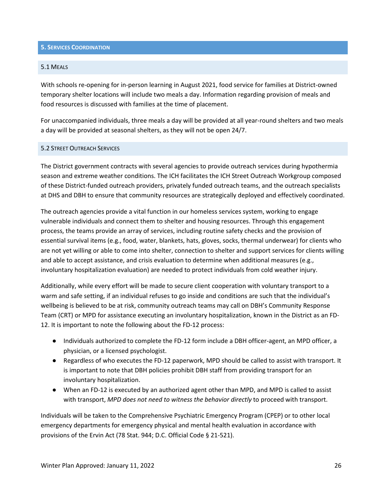#### <span id="page-25-0"></span>**5. SERVICES COORDINATION**

#### <span id="page-25-1"></span>5.1 MEALS

With schools re-opening for in-person learning in August 2021, food service for families at District-owned temporary shelter locations will include two meals a day. Information regarding provision of meals and food resources is discussed with families at the time of placement.

For unaccompanied individuals, three meals a day will be provided at all year-round shelters and two meals a day will be provided at seasonal shelters, as they will not be open 24/7.

#### <span id="page-25-2"></span>5.2 STREET OUTREACH SERVICES

The District government contracts with several agencies to provide outreach services during hypothermia season and extreme weather conditions. The ICH facilitates the ICH Street Outreach Workgroup composed of these District-funded outreach providers, privately funded outreach teams, and the outreach specialists at DHS and DBH to ensure that community resources are strategically deployed and effectively coordinated.

The outreach agencies provide a vital function in our homeless services system, working to engage vulnerable individuals and connect them to shelter and housing resources. Through this engagement process, the teams provide an array of services, including routine safety checks and the provision of essential survival items (e.g., food, water, blankets, hats, gloves, socks, thermal underwear) for clients who are not yet willing or able to come into shelter, connection to shelter and support services for clients willing and able to accept assistance, and crisis evaluation to determine when additional measures (e.g., involuntary hospitalization evaluation) are needed to protect individuals from cold weather injury.

Additionally, while every effort will be made to secure client cooperation with voluntary transport to a warm and safe setting, if an individual refuses to go inside and conditions are such that the individual's wellbeing is believed to be at risk, community outreach teams may call on DBH's Community Response Team (CRT) or MPD for assistance executing an involuntary hospitalization, known in the District as an FD-12. It is important to note the following about the FD-12 process:

- Individuals authorized to complete the FD-12 form include a DBH officer-agent, an MPD officer, a physician, or a licensed psychologist.
- Regardless of who executes the FD-12 paperwork, MPD should be called to assist with transport. It is important to note that DBH policies prohibit DBH staff from providing transport for an involuntary hospitalization.
- When an FD-12 is executed by an authorized agent other than MPD, and MPD is called to assist with transport, *MPD does not need to witness the behavior directly* to proceed with transport.

Individuals will be taken to the Comprehensive Psychiatric Emergency Program (CPEP) or to other local emergency departments for emergency physical and mental health evaluation in accordance with provisions of the Ervin Act (78 Stat. 944; D.C. Official Code § 21-521).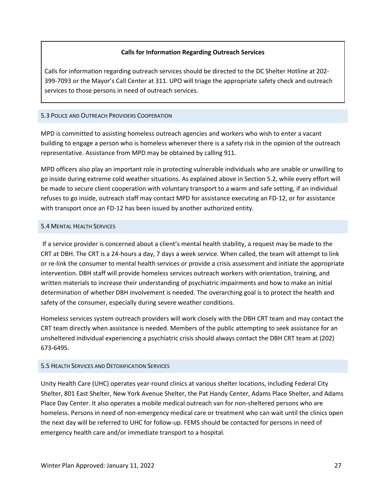## **Calls for Information Regarding Outreach Services**

Calls for information regarding outreach services should be directed to the DC Shelter Hotline at 202- 399-7093 or the Mayor's Call Center at 311. UPO will triage the appropriate safety check and outreach services to those persons in need of outreach services.

#### <span id="page-26-0"></span>5.3 POLICE AND OUTREACH PROVIDERS COOPERATION

MPD is committed to assisting homeless outreach agencies and workers who wish to enter a vacant building to engage a person who is homeless whenever there is a safety risk in the opinion of the outreach representative. Assistance from MPD may be obtained by calling 911.

MPD officers also play an important role in protecting vulnerable individuals who are unable or unwilling to go inside during extreme cold weather situations. As explained above in Section 5.2, while every effort will be made to secure client cooperation with voluntary transport to a warm and safe setting, if an individual refuses to go inside, outreach staff may contact MPD for assistance executing an FD-12, or for assistance with transport once an FD-12 has been issued by another authorized entity.

#### <span id="page-26-1"></span>5.4 MENTAL HEALTH SERVICES

If a service provider is concerned about a client's mental health stability, a request may be made to the CRT at DBH. The CRT is a 24-hours a day, 7 days a week service. When called, the team will attempt to link or re-link the consumer to mental health services or provide a crisis assessment and initiate the appropriate intervention. DBH staff will provide homeless services outreach workers with orientation, training, and written materials to increase their understanding of psychiatric impairments and how to make an initial determination of whether DBH involvement is needed. The overarching goal is to protect the health and safety of the consumer, especially during severe weather conditions.

Homeless services system outreach providers will work closely with the DBH CRT team and may contact the CRT team directly when assistance is needed. Members of the public attempting to seek assistance for an unsheltered individual experiencing a psychiatric crisis should always contact the DBH CRT team at (202) 673-6495.

#### <span id="page-26-2"></span>5.5 HEALTH SERVICES AND DETOXIFICATION SERVICES

Unity Health Care (UHC) operates year-round clinics at various shelter locations, including Federal City Shelter, 801 East Shelter, New York Avenue Shelter, the Pat Handy Center, Adams Place Shelter, and Adams Place Day Center. It also operates a mobile medical outreach van for non-sheltered persons who are homeless. Persons in need of non-emergency medical care or treatment who can wait until the clinics open the next day will be referred to UHC for follow-up. FEMS should be contacted for persons in need of emergency health care and/or immediate transport to a hospital.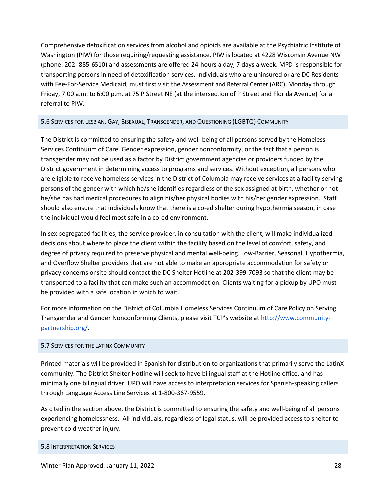Comprehensive detoxification services from alcohol and opioids are available at the Psychiatric Institute of Washington (PIW) for those requiring/requesting assistance. PIW is located at 4228 Wisconsin Avenue NW (phone: 202- 885-6510) and assessments are offered 24-hours a day, 7 days a week. MPD is responsible for transporting persons in need of detoxification services. Individuals who are uninsured or are DC Residents with Fee-For-Service Medicaid, must first visit the Assessment and Referral Center (ARC), Monday through Friday, 7:00 a.m. to 6:00 p.m. at 75 P Street NE (at the intersection of P Street and Florida Avenue) for a referral to PIW.

#### <span id="page-27-0"></span>5.6 SERVICES FOR LESBIAN, GAY, BISEXUAL, TRANSGENDER, AND QUESTIONING (LGBTQ) COMMUNITY

The District is committed to ensuring the safety and well-being of all persons served by the Homeless Services Continuum of Care. Gender expression, gender nonconformity, or the fact that a person is transgender may not be used as a factor by District government agencies or providers funded by the District government in determining access to programs and services. Without exception, all persons who are eligible to receive homeless services in the District of Columbia may receive services at a facility serving persons of the gender with which he/she identifies regardless of the sex assigned at birth, whether or not he/she has had medical procedures to align his/her physical bodies with his/her gender expression. Staff should also ensure that individuals know that there is a co-ed shelter during hypothermia season, in case the individual would feel most safe in a co-ed environment.

In sex-segregated facilities, the service provider, in consultation with the client, will make individualized decisions about where to place the client within the facility based on the level of comfort, safety, and degree of privacy required to preserve physical and mental well-being. Low-Barrier, Seasonal, Hypothermia, and Overflow Shelter providers that are not able to make an appropriate accommodation for safety or privacy concerns onsite should contact the DC Shelter Hotline at 202-399-7093 so that the client may be transported to a facility that can make such an accommodation. Clients waiting for a pickup by UPO must be provided with a safe location in which to wait.

For more information on the District of Columbia Homeless Services Continuum of Care Policy on Serving Transgender and Gender Nonconforming Clients, please visit TCP's website a[t http://www.community](http://www.community-partnership.org/)[partnership.org/.](http://www.community-partnership.org/)

#### <span id="page-27-1"></span>5.7 SERVICES FOR THE LATINX COMMUNITY

Printed materials will be provided in Spanish for distribution to organizations that primarily serve the LatinX community. The District Shelter Hotline will seek to have bilingual staff at the Hotline office, and has minimally one bilingual driver. UPO will have access to interpretation services for Spanish-speaking callers through Language Access Line Services at 1-800-367-9559.

As cited in the section above, the District is committed to ensuring the safety and well-being of all persons experiencing homelessness. All individuals, regardless of legal status, will be provided access to shelter to prevent cold weather injury.

#### <span id="page-27-2"></span>5.8 INTERPRETATION SERVICES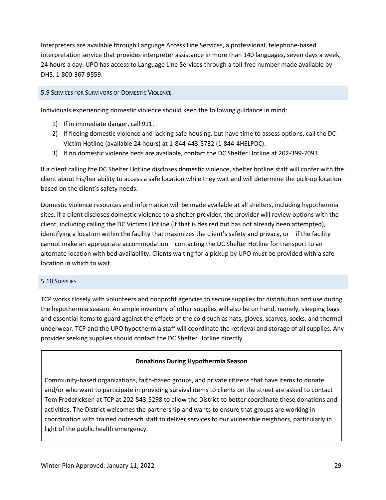Interpreters are available through Language Access Line Services, a professional, telephone-based interpretation service that provides interpreter assistance in more than 140 languages, seven days a week, 24 hours a day. UPO has access to Language Line Services through a toll-free number made available by DHS, 1-800-367-9559.

## <span id="page-28-0"></span>5.9 SERVICES FOR SURVIVORS OF DOMESTIC VIOLENCE

Individuals experiencing domestic violence should keep the following guidance in mind:

- 1) If in immediate danger, call 911.
- 2) If fleeing domestic violence and lacking safe housing, but have time to assess options, call the DC Victim Hotline (available 24 hours) at 1-844-443-5732 (1-844-4HELPDC).
- 3) If no domestic violence beds are available, contact the DC Shelter Hotline at 202-399-7093.

If a client calling the DC Shelter Hotline discloses domestic violence, shelter hotline staff will confer with the client about his/her ability to access a safe location while they wait and will determine the pick-up location based on the client's safety needs.

Domestic violence resources and information will be made available at all shelters, including hypothermia sites. If a client discloses domestic violence to a shelter provider, the provider will review options with the client, including calling the DC Victims Hotline (if that is desired but has not already been attempted), identifying a location within the facility that maximizes the client's safety and privacy, or – if the facility cannot make an appropriate accommodation – contacting the DC Shelter Hotline for transport to an alternate location with bed availability. Clients waiting for a pickup by UPO must be provided with a safe location in which to wait.

#### <span id="page-28-1"></span>5.10 SUPPLIES

TCP works closely with volunteers and nonprofit agencies to secure supplies for distribution and use during the hypothermia season. An ample inventory of other supplies will also be on hand, namely, sleeping bags and essential items to guard against the effects of the cold such as hats, gloves, scarves, socks, and thermal underwear. TCP and the UPO hypothermia staff will coordinate the retrieval and storage of all supplies. Any provider seeking supplies should contact the DC Shelter Hotline directly.

## **Donations During Hypothermia Season**

Community-based organizations, faith-based groups, and private citizens that have items to donate and/or who want to participate in providing survival items to clients on the street are asked to contact Tom Fredericksen at TCP at 202-543-5298 to allow the District to better coordinate these donations and activities. The District welcomes the partnership and wants to ensure that groups are working in coordination with trained outreach staff to deliver services to our vulnerable neighbors, particularly in light of the public health emergency.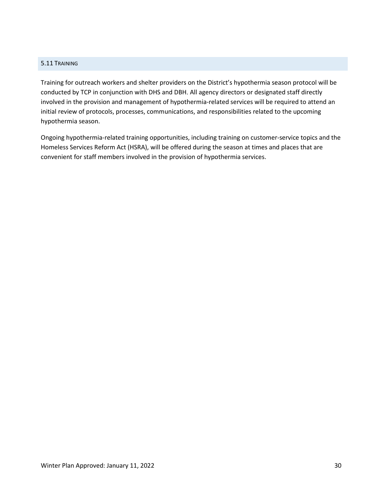#### <span id="page-29-0"></span>5.11 TRAINING

Training for outreach workers and shelter providers on the District's hypothermia season protocol will be conducted by TCP in conjunction with DHS and DBH. All agency directors or designated staff directly involved in the provision and management of hypothermia-related services will be required to attend an initial review of protocols, processes, communications, and responsibilities related to the upcoming hypothermia season.

Ongoing hypothermia-related training opportunities, including training on customer-service topics and the Homeless Services Reform Act (HSRA), will be offered during the season at times and places that are convenient for staff members involved in the provision of hypothermia services.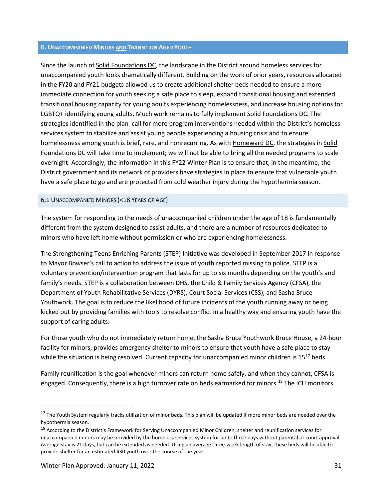#### <span id="page-30-0"></span>**6. UNACCOMPANIED MINORS AND TRANSITION AGED YOUTH**

Since the launch of Solid Foundations DC, the landscape in the District around homeless services for unaccompanied youth looks dramatically different. Building on the work of prior years, resources allocated in the FY20 and FY21 budgets allowed us to create additional shelter beds needed to ensure a more immediate connection for youth seeking a safe place to sleep, expand transitional housing and extended transitional housing capacity for young adults experiencing homelessness, and increase housing options for LGBTQ+ identifying young adults. Much work remains to fully implement Solid Foundations DC. The strategies identified in the plan call for more program interventions needed within the District's homeless services system to stabilize and assist young people experiencing a housing crisis and to ensure homelessness among youth is brief, rare, and nonrecurring. As with Homeward DC, the strategies in Solid Foundations DC will take time to implement; we will not be able to bring all the needed programs to scale overnight. Accordingly, the information in this FY22 Winter Plan is to ensure that, in the meantime, the District government and its network of providers have strategies in place to ensure that vulnerable youth have a safe place to go and are protected from cold weather injury during the hypothermia season.

#### <span id="page-30-1"></span>6.1 UNACCOMPANIED MINORS (<18 YEARS OF AGE)

The system for responding to the needs of unaccompanied children under the age of 18 is fundamentally different from the system designed to assist adults, and there are a number of resources dedicated to minors who have left home without permission or who are experiencing homelessness.

The Strengthening Teens Enriching Parents (STEP) Initiative was developed in September 2017 in response to Mayor Bowser's call to action to address the issue of youth reported missing to police. STEP is a voluntary prevention/intervention program that lasts for up to six months depending on the youth's and family's needs. STEP is a collaboration between DHS, the Child & Family Services Agency (CFSA), the Department of Youth Rehabilitative Services (DYRS), Court Social Services (CSS), and Sasha Bruce Youthwork. The goal is to reduce the likelihood of future incidents of the youth running away or being kicked out by providing families with tools to resolve conflict in a healthy way and ensuring youth have the support of caring adults.

For those youth who do not immediately return home, the Sasha Bruce Youthwork Bruce House, a 24-hour facility for minors, provides emergency shelter to minors to ensure that youth have a safe place to stay while the situation is being resolved. Current capacity for unaccompanied minor children is  $15^{17}$  $15^{17}$  $15^{17}$  beds.

Family reunification is the goal whenever minors can return home safely, and when they cannot, CFSA is engaged. Consequently, there is a high turnover rate on beds earmarked for minors.<sup>[18](#page-30-3)</sup> The ICH monitors

<span id="page-30-2"></span><sup>&</sup>lt;sup>17</sup> The Youth System regularly tracks utilization of minor beds. This plan will be updated If more minor beds are needed over the hypothermia season.

<span id="page-30-3"></span><sup>&</sup>lt;sup>18</sup> According to the District's Framework for Serving Unaccompanied Minor Children, shelter and reunification services for unaccompanied minors may be provided by the homeless services system for up to three days without parental or court approval. Average stay is 21 days, but can be extended as needed. Using an average three-week length of stay, these beds will be able to provide shelter for an estimated 430 youth over the course of the year.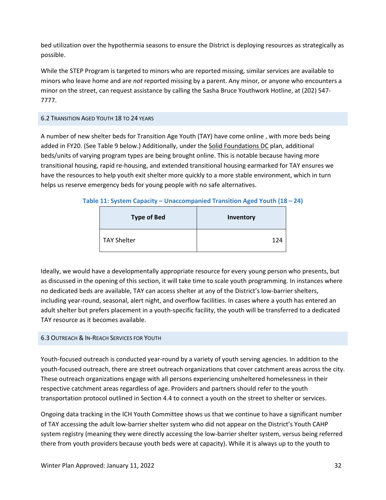bed utilization over the hypothermia seasons to ensure the District is deploying resources as strategically as possible.

While the STEP Program is targeted to minors who are reported missing, similar services are available to minors who leave home and are *not* reported missing by a parent. Any minor, or anyone who encounters a minor on the street, can request assistance by calling the Sasha Bruce Youthwork Hotline, at (202) 547- 777.

#### <span id="page-31-0"></span>6.2 TRANSITION AGED YOUTH 18 TO 24 YEARS

A number of new shelter beds for Transition Age Youth (TAY) have come online , with more beds being added in FY20. (See Table 9 below.) Additionally, under the Solid Foundations DC plan, additional beds/units of varying program types are being brought online. This is notable because having more transitional housing, rapid re-housing, and extended transitional housing earmarked for TAY ensures we have the resources to help youth exit shelter more quickly to a more stable environment, which in turn helps us reserve emergency beds for young people with no safe alternatives.

#### **Table 11: System Capacity – Unaccompanied Transition Aged Youth (18 – 24)**

| <b>Type of Bed</b> | Inventory |
|--------------------|-----------|
| <b>TAY Shelter</b> | 124       |

Ideally, we would have a developmentally appropriate resource for every young person who presents, but as discussed in the opening of this section, it will take time to scale youth programming. In instances where no dedicated beds are available, TAY can access shelter at any of the District's low-barrier shelters, including year-round, seasonal, alert night, and overflow facilities. In cases where a youth has entered an adult shelter but prefers placement in a youth-specific facility, the youth will be transferred to a dedicated TAY resource as it becomes available.

#### <span id="page-31-1"></span>6.3 OUTREACH & IN-REACH SERVICES FOR YOUTH

Youth-focused outreach is conducted year-round by a variety of youth serving agencies. In addition to the youth-focused outreach, there are street outreach organizations that cover catchment areas across the city. These outreach organizations engage with all persons experiencing unsheltered homelessness in their respective catchment areas regardless of age. Providers and partners should refer to the youth transportation protocol outlined in Section 4.4 to connect a youth on the street to shelter or services.

Ongoing data tracking in the ICH Youth Committee shows us that we continue to have a significant number of TAY accessing the adult low-barrier shelter system who did not appear on the District's Youth CAHP system registry (meaning they were directly accessing the low-barrier shelter system, versus being referred there from youth providers because youth beds were at capacity). While it is always up to the youth to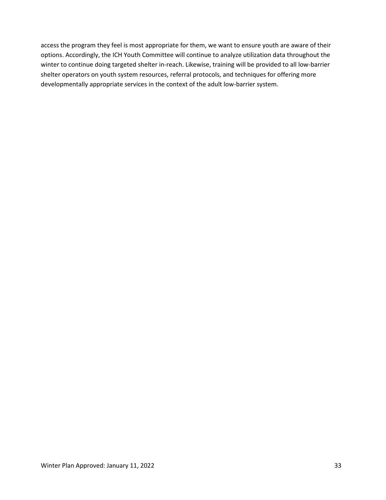access the program they feel is most appropriate for them, we want to ensure youth are aware of their options. Accordingly, the ICH Youth Committee will continue to analyze utilization data throughout the winter to continue doing targeted shelter in-reach. Likewise, training will be provided to all low-barrier shelter operators on youth system resources, referral protocols, and techniques for offering more developmentally appropriate services in the context of the adult low-barrier system.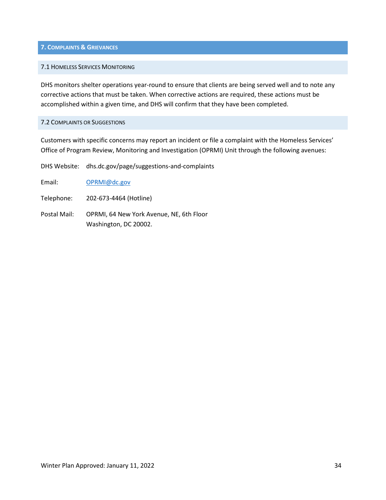#### <span id="page-33-0"></span>**7. COMPLAINTS & GRIEVANCES**

#### <span id="page-33-1"></span>7.1 HOMELESS SERVICES MONITORING

DHS monitors shelter operations year-round to ensure that clients are being served well and to note any corrective actions that must be taken. When corrective actions are required, these actions must be accomplished within a given time, and DHS will confirm that they have been completed.

#### <span id="page-33-2"></span>7.2 COMPLAINTS OR SUGGESTIONS

Customers with specific concerns may report an incident or file a complaint with the Homeless Services' Office of Program Review, Monitoring and Investigation (OPRMI) Unit through the following avenues:

DHS Website: dhs.dc.gov/page/suggestions-and-complaints

Email: [OPRMI@dc.gov](mailto:OPRMI@dc.gov)

Telephone: 202-673-4464 (Hotline)

Postal Mail: OPRMI, 64 New York Avenue, NE, 6th Floor Washington, DC 20002.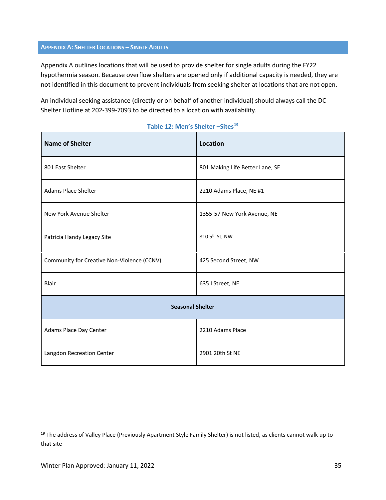#### <span id="page-34-0"></span>**APPENDIX A: SHELTER LOCATIONS – SINGLE ADULTS**

Appendix A outlines locations that will be used to provide shelter for single adults during the FY22 hypothermia season. Because overflow shelters are opened only if additional capacity is needed, they are not identified in this document to prevent individuals from seeking shelter at locations that are not open.

An individual seeking assistance (directly or on behalf of another individual) should always call the DC Shelter Hotline at 202-399-7093 to be directed to a location with availability.

| <b>Name of Shelter</b>                     | <b>Location</b>                 |  |
|--------------------------------------------|---------------------------------|--|
| 801 East Shelter                           | 801 Making Life Better Lane, SE |  |
| <b>Adams Place Shelter</b>                 | 2210 Adams Place, NE #1         |  |
| New York Avenue Shelter                    | 1355-57 New York Avenue, NE     |  |
| Patricia Handy Legacy Site                 | 810 5th St, NW                  |  |
| Community for Creative Non-Violence (CCNV) | 425 Second Street, NW           |  |
| Blair                                      | 635   Street, NE                |  |
| <b>Seasonal Shelter</b>                    |                                 |  |
| Adams Place Day Center                     | 2210 Adams Place                |  |
| Langdon Recreation Center                  | 2901 20th St NE                 |  |

#### **Table 12: Men's Shelter –Sites[19](#page-34-1)**

<span id="page-34-1"></span><sup>&</sup>lt;sup>19</sup> The address of Valley Place (Previously Apartment Style Family Shelter) is not listed, as clients cannot walk up to that site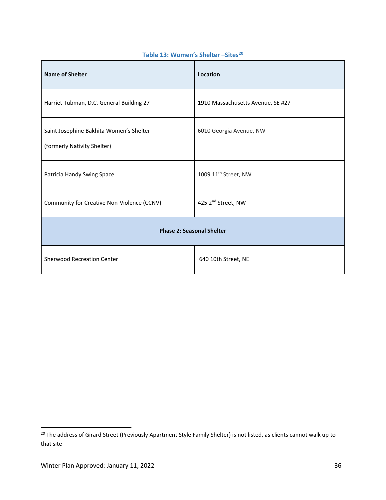| <b>Name of Shelter</b>                                                 | Location                          |  |
|------------------------------------------------------------------------|-----------------------------------|--|
| Harriet Tubman, D.C. General Building 27                               | 1910 Massachusetts Avenue, SE #27 |  |
| Saint Josephine Bakhita Women's Shelter<br>(formerly Nativity Shelter) | 6010 Georgia Avenue, NW           |  |
| Patricia Handy Swing Space                                             | 1009 11 <sup>th</sup> Street, NW  |  |
| Community for Creative Non-Violence (CCNV)                             | 425 2 <sup>nd</sup> Street, NW    |  |
| <b>Phase 2: Seasonal Shelter</b>                                       |                                   |  |
| <b>Sherwood Recreation Center</b>                                      | 640 10th Street, NE               |  |

# **Table 13: Women's Shelter –Sites[20](#page-35-0)**

<span id="page-35-0"></span><sup>&</sup>lt;sup>20</sup> The address of Girard Street (Previously Apartment Style Family Shelter) is not listed, as clients cannot walk up to that site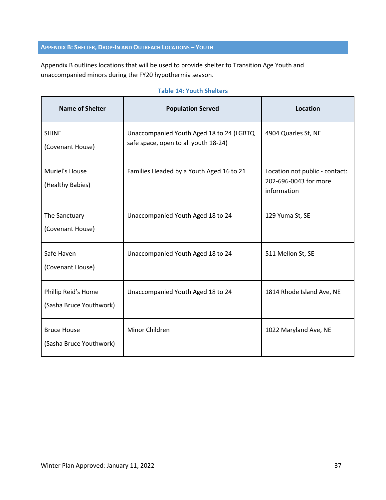## <span id="page-36-0"></span>**APPENDIX B: SHELTER, DROP-IN AND OUTREACH LOCATIONS – YOUTH**

Appendix B outlines locations that will be used to provide shelter to Transition Age Youth and unaccompanied minors during the FY20 hypothermia season.

| <b>Name of Shelter</b>                         | <b>Population Served</b>                                                         | Location                                                               |
|------------------------------------------------|----------------------------------------------------------------------------------|------------------------------------------------------------------------|
| <b>SHINE</b><br>(Covenant House)               | Unaccompanied Youth Aged 18 to 24 (LGBTQ<br>safe space, open to all youth 18-24) | 4904 Quarles St, NE                                                    |
| Muriel's House<br>(Healthy Babies)             | Families Headed by a Youth Aged 16 to 21                                         | Location not public - contact:<br>202-696-0043 for more<br>information |
| The Sanctuary<br>(Covenant House)              | Unaccompanied Youth Aged 18 to 24                                                | 129 Yuma St, SE                                                        |
| Safe Haven<br>(Covenant House)                 | Unaccompanied Youth Aged 18 to 24                                                | 511 Mellon St, SE                                                      |
| Phillip Reid's Home<br>(Sasha Bruce Youthwork) | Unaccompanied Youth Aged 18 to 24                                                | 1814 Rhode Island Ave, NE                                              |
| <b>Bruce House</b><br>(Sasha Bruce Youthwork)  | Minor Children                                                                   | 1022 Maryland Ave, NE                                                  |

#### **Table 14: Youth Shelters**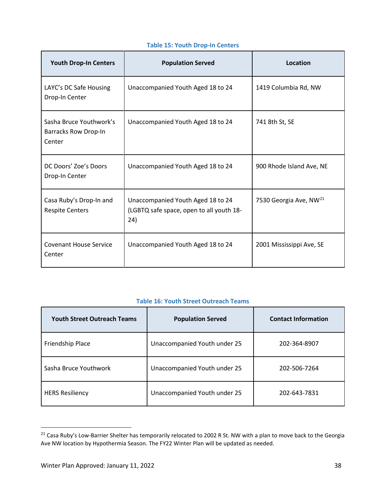| <b>Youth Drop-In Centers</b>                                     | <b>Population Served</b>                                                             | Location                           |
|------------------------------------------------------------------|--------------------------------------------------------------------------------------|------------------------------------|
| LAYC's DC Safe Housing<br>Drop-In Center                         | Unaccompanied Youth Aged 18 to 24                                                    | 1419 Columbia Rd, NW               |
| Sasha Bruce Youthwork's<br><b>Barracks Row Drop-In</b><br>Center | Unaccompanied Youth Aged 18 to 24                                                    | 741 8th St, SE                     |
| DC Doors' Zoe's Doors<br>Drop-In Center                          | Unaccompanied Youth Aged 18 to 24                                                    | 900 Rhode Island Ave, NE           |
| Casa Ruby's Drop-In and<br><b>Respite Centers</b>                | Unaccompanied Youth Aged 18 to 24<br>(LGBTQ safe space, open to all youth 18-<br>24) | 7530 Georgia Ave, NW <sup>21</sup> |
| <b>Covenant House Service</b><br>Center                          | Unaccompanied Youth Aged 18 to 24                                                    | 2001 Mississippi Ave, SE           |

## **Table 15: Youth Drop-In Centers**

## **Table 16: Youth Street Outreach Teams**

| <b>Youth Street Outreach Teams</b> | <b>Population Served</b>     | <b>Contact Information</b> |
|------------------------------------|------------------------------|----------------------------|
| Friendship Place                   | Unaccompanied Youth under 25 | 202-364-8907               |
| Sasha Bruce Youthwork              | Unaccompanied Youth under 25 | 202-506-7264               |
| <b>HERS Resiliency</b>             | Unaccompanied Youth under 25 | 202-643-7831               |

<span id="page-37-0"></span> $21$  Casa Ruby's Low-Barrier Shelter has temporarily relocated to 2002 R St. NW with a plan to move back to the Georgia Ave NW location by Hypothermia Season. The FY22 Winter Plan will be updated as needed.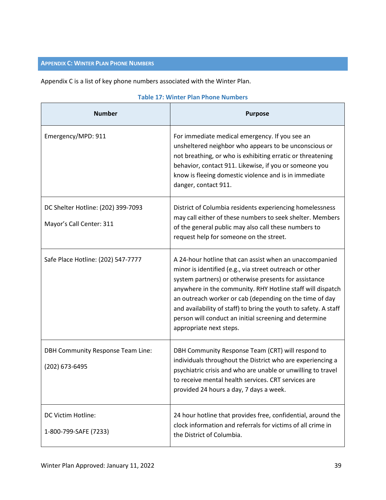# <span id="page-38-0"></span>**APPENDIX C: WINTER PLAN PHONE NUMBERS**

Appendix C is a list of key phone numbers associated with the Winter Plan.

| <b>Number</b>                                                  | <b>Purpose</b>                                                                                                                                                                                                                                                                                                                                                                                                                                                |
|----------------------------------------------------------------|---------------------------------------------------------------------------------------------------------------------------------------------------------------------------------------------------------------------------------------------------------------------------------------------------------------------------------------------------------------------------------------------------------------------------------------------------------------|
| Emergency/MPD: 911                                             | For immediate medical emergency. If you see an<br>unsheltered neighbor who appears to be unconscious or<br>not breathing, or who is exhibiting erratic or threatening<br>behavior, contact 911. Likewise, if you or someone you<br>know is fleeing domestic violence and is in immediate<br>danger, contact 911.                                                                                                                                              |
| DC Shelter Hotline: (202) 399-7093<br>Mayor's Call Center: 311 | District of Columbia residents experiencing homelessness<br>may call either of these numbers to seek shelter. Members<br>of the general public may also call these numbers to<br>request help for someone on the street.                                                                                                                                                                                                                                      |
| Safe Place Hotline: (202) 547-7777                             | A 24-hour hotline that can assist when an unaccompanied<br>minor is identified (e.g., via street outreach or other<br>system partners) or otherwise presents for assistance<br>anywhere in the community. RHY Hotline staff will dispatch<br>an outreach worker or cab (depending on the time of day<br>and availability of staff) to bring the youth to safety. A staff<br>person will conduct an initial screening and determine<br>appropriate next steps. |
| <b>DBH Community Response Team Line:</b><br>(202) 673-6495     | DBH Community Response Team (CRT) will respond to<br>individuals throughout the District who are experiencing a<br>psychiatric crisis and who are unable or unwilling to travel<br>to receive mental health services. CRT services are<br>provided 24 hours a day, 7 days a week.                                                                                                                                                                             |
| DC Victim Hotline:<br>1-800-799-SAFE (7233)                    | 24 hour hotline that provides free, confidential, around the<br>clock information and referrals for victims of all crime in<br>the District of Columbia.                                                                                                                                                                                                                                                                                                      |

#### **Table 17: Winter Plan Phone Numbers**